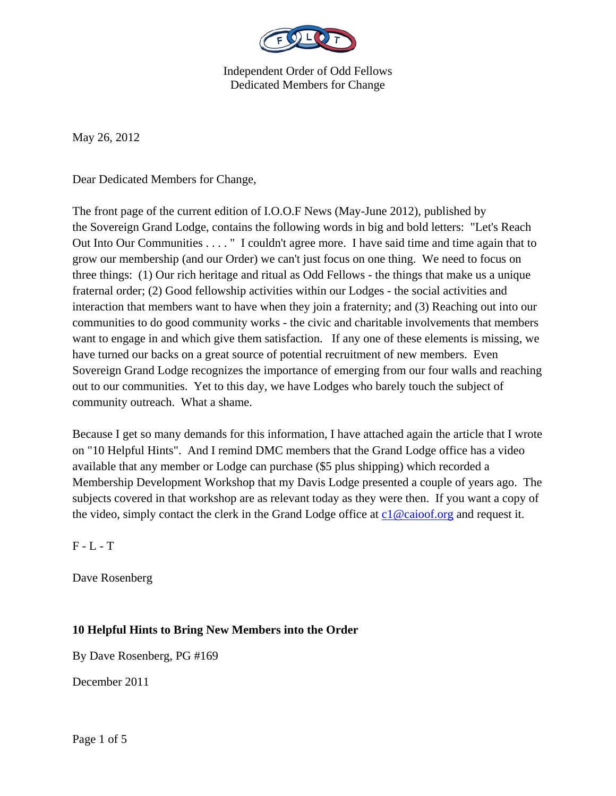

May 26, 2012

Dear Dedicated Members for Change,

The front page of the current edition of I.O.O.F News (May-June 2012), published by the Sovereign Grand Lodge, contains the following words in big and bold letters: "Let's Reach Out Into Our Communities . . . . " I couldn't agree more. I have said time and time again that to grow our membership (and our Order) we can't just focus on one thing. We need to focus on three things: (1) Our rich heritage and ritual as Odd Fellows - the things that make us a unique fraternal order; (2) Good fellowship activities within our Lodges - the social activities and interaction that members want to have when they join a fraternity; and (3) Reaching out into our communities to do good community works - the civic and charitable involvements that members want to engage in and which give them satisfaction. If any one of these elements is missing, we have turned our backs on a great source of potential recruitment of new members. Even Sovereign Grand Lodge recognizes the importance of emerging from our four walls and reaching out to our communities. Yet to this day, we have Lodges who barely touch the subject of community outreach. What a shame.

Because I get so many demands for this information, I have attached again the article that I wrote on "10 Helpful Hints". And I remind DMC members that the Grand Lodge office has a video available that any member or Lodge can purchase (\$5 plus shipping) which recorded a Membership Development Workshop that my Davis Lodge presented a couple of years ago. The subjects covered in that workshop are as relevant today as they were then. If you want a copy of the video, simply contact the clerk in the Grand Lodge office at  $c1@caioof.org$  and request it.

 $F - L - T$ 

Dave Rosenberg

## **10 Helpful Hints to Bring New Members into the Order**

By Dave Rosenberg, PG #169

December 2011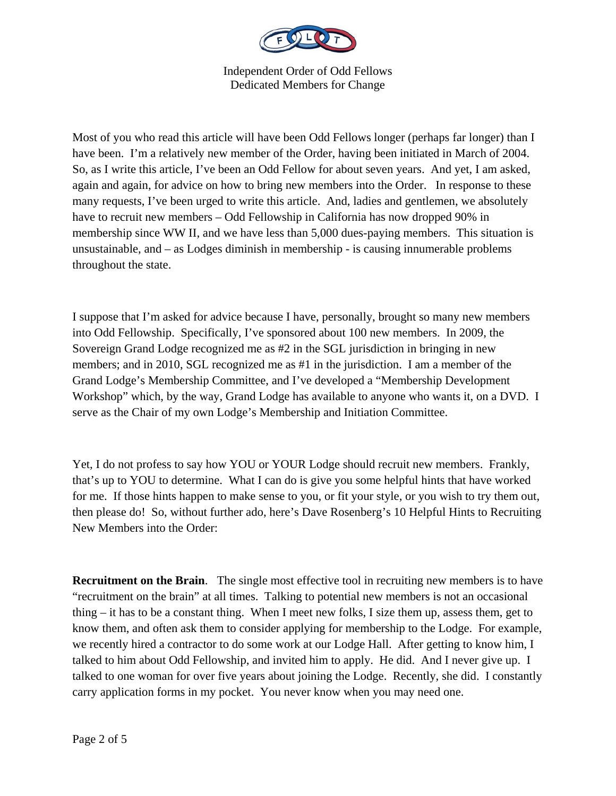

Most of you who read this article will have been Odd Fellows longer (perhaps far longer) than I have been. I'm a relatively new member of the Order, having been initiated in March of 2004. So, as I write this article, I've been an Odd Fellow for about seven years. And yet, I am asked, again and again, for advice on how to bring new members into the Order. In response to these many requests, I've been urged to write this article. And, ladies and gentlemen, we absolutely have to recruit new members – Odd Fellowship in California has now dropped 90% in membership since WW II, and we have less than 5,000 dues-paying members. This situation is unsustainable, and – as Lodges diminish in membership - is causing innumerable problems throughout the state.

I suppose that I'm asked for advice because I have, personally, brought so many new members into Odd Fellowship. Specifically, I've sponsored about 100 new members. In 2009, the Sovereign Grand Lodge recognized me as #2 in the SGL jurisdiction in bringing in new members; and in 2010, SGL recognized me as #1 in the jurisdiction. I am a member of the Grand Lodge's Membership Committee, and I've developed a "Membership Development Workshop" which, by the way, Grand Lodge has available to anyone who wants it, on a DVD. I serve as the Chair of my own Lodge's Membership and Initiation Committee.

Yet, I do not profess to say how YOU or YOUR Lodge should recruit new members. Frankly, that's up to YOU to determine. What I can do is give you some helpful hints that have worked for me. If those hints happen to make sense to you, or fit your style, or you wish to try them out, then please do! So, without further ado, here's Dave Rosenberg's 10 Helpful Hints to Recruiting New Members into the Order:

**Recruitment on the Brain.** The single most effective tool in recruiting new members is to have "recruitment on the brain" at all times. Talking to potential new members is not an occasional thing – it has to be a constant thing. When I meet new folks, I size them up, assess them, get to know them, and often ask them to consider applying for membership to the Lodge. For example, we recently hired a contractor to do some work at our Lodge Hall. After getting to know him, I talked to him about Odd Fellowship, and invited him to apply. He did. And I never give up. I talked to one woman for over five years about joining the Lodge. Recently, she did. I constantly carry application forms in my pocket. You never know when you may need one.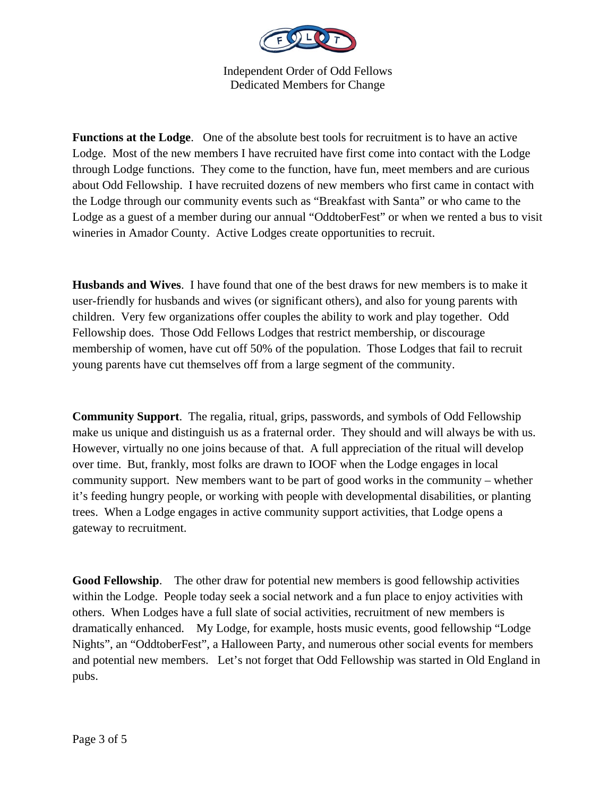

**Functions at the Lodge**. One of the absolute best tools for recruitment is to have an active Lodge. Most of the new members I have recruited have first come into contact with the Lodge through Lodge functions. They come to the function, have fun, meet members and are curious about Odd Fellowship. I have recruited dozens of new members who first came in contact with the Lodge through our community events such as "Breakfast with Santa" or who came to the Lodge as a guest of a member during our annual "OddtoberFest" or when we rented a bus to visit wineries in Amador County. Active Lodges create opportunities to recruit.

**Husbands and Wives**. I have found that one of the best draws for new members is to make it user-friendly for husbands and wives (or significant others), and also for young parents with children. Very few organizations offer couples the ability to work and play together. Odd Fellowship does. Those Odd Fellows Lodges that restrict membership, or discourage membership of women, have cut off 50% of the population. Those Lodges that fail to recruit young parents have cut themselves off from a large segment of the community.

**Community Support**. The regalia, ritual, grips, passwords, and symbols of Odd Fellowship make us unique and distinguish us as a fraternal order. They should and will always be with us. However, virtually no one joins because of that. A full appreciation of the ritual will develop over time. But, frankly, most folks are drawn to IOOF when the Lodge engages in local community support. New members want to be part of good works in the community – whether it's feeding hungry people, or working with people with developmental disabilities, or planting trees. When a Lodge engages in active community support activities, that Lodge opens a gateway to recruitment.

**Good Fellowship**. The other draw for potential new members is good fellowship activities within the Lodge. People today seek a social network and a fun place to enjoy activities with others. When Lodges have a full slate of social activities, recruitment of new members is dramatically enhanced. My Lodge, for example, hosts music events, good fellowship "Lodge Nights", an "OddtoberFest", a Halloween Party, and numerous other social events for members and potential new members. Let's not forget that Odd Fellowship was started in Old England in pubs.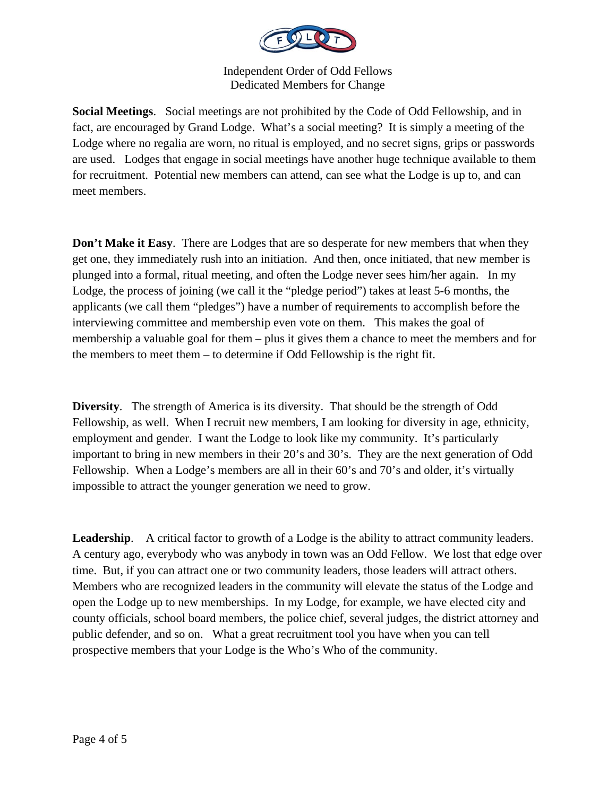

**Social Meetings**. Social meetings are not prohibited by the Code of Odd Fellowship, and in fact, are encouraged by Grand Lodge. What's a social meeting? It is simply a meeting of the Lodge where no regalia are worn, no ritual is employed, and no secret signs, grips or passwords are used. Lodges that engage in social meetings have another huge technique available to them for recruitment. Potential new members can attend, can see what the Lodge is up to, and can meet members.

**Don't Make it Easy**. There are Lodges that are so desperate for new members that when they get one, they immediately rush into an initiation. And then, once initiated, that new member is plunged into a formal, ritual meeting, and often the Lodge never sees him/her again. In my Lodge, the process of joining (we call it the "pledge period") takes at least 5-6 months, the applicants (we call them "pledges") have a number of requirements to accomplish before the interviewing committee and membership even vote on them. This makes the goal of membership a valuable goal for them – plus it gives them a chance to meet the members and for the members to meet them – to determine if Odd Fellowship is the right fit.

**Diversity**. The strength of America is its diversity. That should be the strength of Odd Fellowship, as well. When I recruit new members, I am looking for diversity in age, ethnicity, employment and gender. I want the Lodge to look like my community. It's particularly important to bring in new members in their 20's and 30's. They are the next generation of Odd Fellowship. When a Lodge's members are all in their 60's and 70's and older, it's virtually impossible to attract the younger generation we need to grow.

**Leadership**. A critical factor to growth of a Lodge is the ability to attract community leaders. A century ago, everybody who was anybody in town was an Odd Fellow. We lost that edge over time. But, if you can attract one or two community leaders, those leaders will attract others. Members who are recognized leaders in the community will elevate the status of the Lodge and open the Lodge up to new memberships. In my Lodge, for example, we have elected city and county officials, school board members, the police chief, several judges, the district attorney and public defender, and so on. What a great recruitment tool you have when you can tell prospective members that your Lodge is the Who's Who of the community.